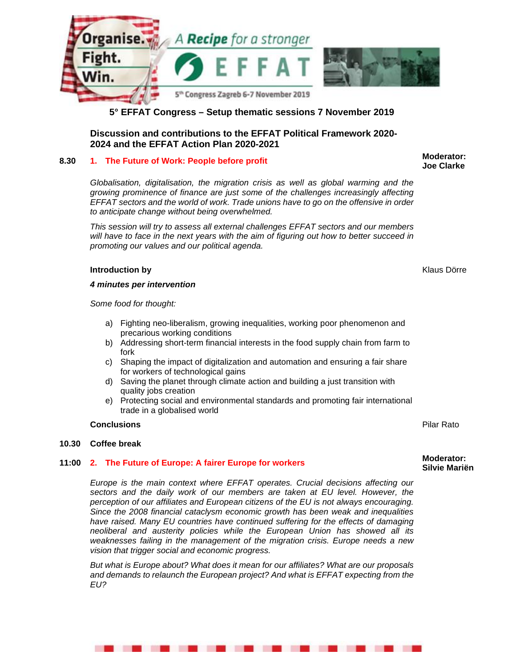

# **5° EFFAT Congress – Setup thematic sessions 7 November 2019**

# **Discussion and contributions to the EFFAT Political Framework 2020- 2024 and the EFFAT Action Plan 2020-2021**

# **8.30** 1. The Future of Work: People before profit **1. The Future of Work: People before** profit **1. Also Clarks**

*Globalisation, digitalisation, the migration crisis as well as global warming and the growing prominence of finance are just some of the challenges increasingly affecting EFFAT sectors and the world of work. Trade unions have to go on the offensive in order to anticipate change without being overwhelmed.* 

*This session will try to assess all external challenges EFFAT sectors and our members will have to face in the next years with the aim of figuring out how to better succeed in promoting our values and our political agenda.* 

# **Introduction by** Klaus Dörre

*4 minutes per intervention* 

*Some food for thought:* 

- a) Fighting neo-liberalism, growing inequalities, working poor phenomenon and precarious working conditions
- b) Addressing short-term financial interests in the food supply chain from farm to fork
- c) Shaping the impact of digitalization and automation and ensuring a fair share for workers of technological gains
- d) Saving the planet through climate action and building a just transition with quality jobs creation
- e) Protecting social and environmental standards and promoting fair international trade in a globalised world

### **Conclusions** Pilar Rato

### **10.30 Coffee break**

### **11:00 2. The Future of Europe: A fairer Europe for workers**

*Europe is the main context where EFFAT operates. Crucial decisions affecting our sectors and the daily work of our members are taken at EU level. However, the perception of our affiliates and European citizens of the EU is not always encouraging. Since the 2008 financial cataclysm economic growth has been weak and inequalities have raised. Many EU countries have continued suffering for the effects of damaging neoliberal and austerity policies while the European Union has showed all its weaknesses failing in the management of the migration crisis. Europe needs a new vision that trigger social and economic progress.* 

*But what is Europe about? What does it mean for our affiliates? What are our proposals and demands to relaunch the European project? And what is EFFAT expecting from the EU?* 

. . . . . . . . . . . .

**Joe Clarke** 

#### **Moderator: Silvie Mariën**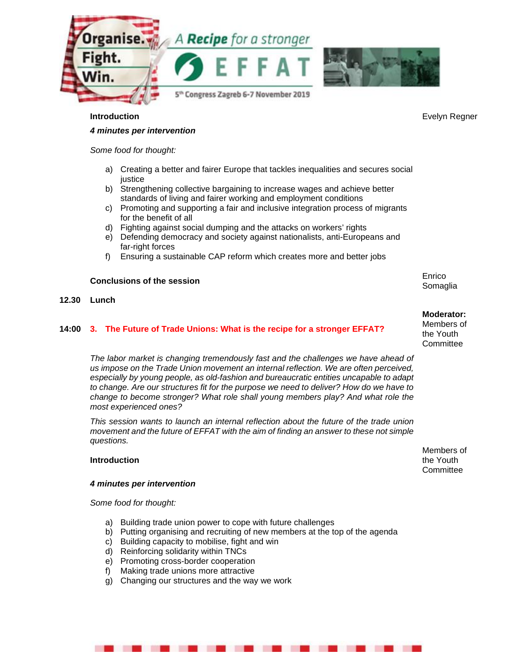



#### *4 minutes per intervention*

*Some food for thought:* 

- a) Creating a better and fairer Europe that tackles inequalities and secures social justice
- b) Strengthening collective bargaining to increase wages and achieve better standards of living and fairer working and employment conditions
- c) Promoting and supporting a fair and inclusive integration process of migrants for the benefit of all
- d) Fighting against social dumping and the attacks on workers' rights
- e) Defending democracy and society against nationalists, anti-Europeans and far-right forces
- f) Ensuring a sustainable CAP reform which creates more and better jobs

#### **Conclusions of the session**

#### **12.30 Lunch**

#### **14:00 3. The Future of Trade Unions: What is the recipe for a stronger EFFAT?**

*The labor market is changing tremendously fast and the challenges we have ahead of us impose on the Trade Union movement an internal reflection. We are often perceived, especially by young people, as old-fashion and bureaucratic entities uncapable to adapt to change. Are our structures fit for the purpose we need to deliver? How do we have to change to become stronger? What role shall young members play? And what role the most experienced ones?* 

*This session wants to launch an internal reflection about the future of the trade union movement and the future of EFFAT with the aim of finding an answer to these not simple questions.* 

#### **Introduction**

. .

#### *4 minutes per intervention*

*Some food for thought:* 

- a) Building trade union power to cope with future challenges
- b) Putting organising and recruiting of new members at the top of the agenda

. . . . . . . . . . .

- c) Building capacity to mobilise, fight and win
- d) Reinforcing solidarity within TNCs
- e) Promoting cross-border cooperation
- f) Making trade unions more attractive
- g) Changing our structures and the way we work

Somaglia

Enrico

#### **Moderator:**

Members of the Youth **Committee** 

Members of the Youth **Committee** 

**Introduction Evelyn Regner Constanting Constanting Constanting Constanting Constanting Constanting Constanting Constanting Constanting Constanting Constanting Constanting Constanting Constanting Constanting Constantin**